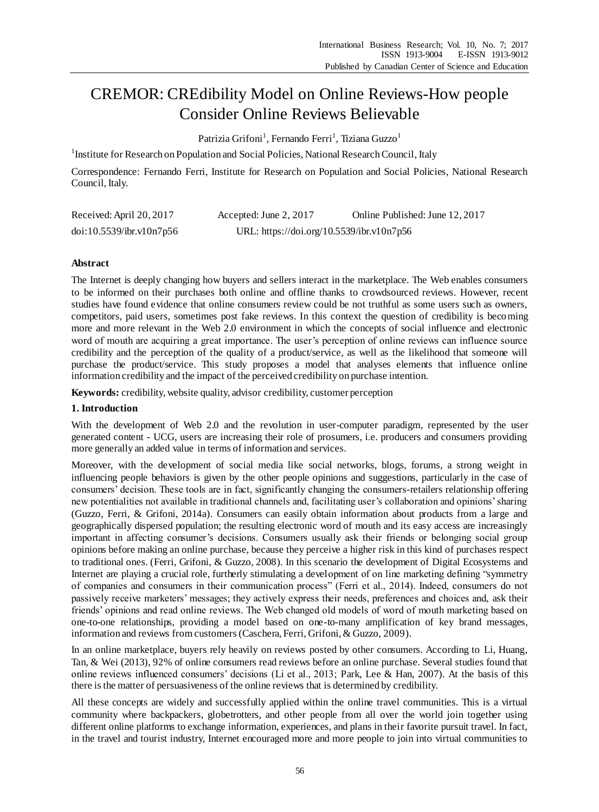# CREMOR: CREdibility Model on Online Reviews-How people Consider Online Reviews Believable

Patrizia Grifoni<sup>1</sup>, Fernando Ferri<sup>1</sup>, Tiziana Guzzo<sup>1</sup>

<sup>1</sup> Institute for Research on Population and Social Policies, National Research Council, Italy

Correspondence: Fernando Ferri, Institute for Research on Population and Social Policies, National Research Council, Italy.

| Received: April 20, 2017 | Accepted: June 2, 2017                    | Online Published: June 12, 2017 |
|--------------------------|-------------------------------------------|---------------------------------|
| doi:10.5539/ibr.v10n7p56 | URL: https://doi.org/10.5539/ibr.v10n7p56 |                                 |

# **Abstract**

The Internet is deeply changing how buyers and sellers interact in the marketplace. The Web enables consumers to be informed on their purchases both online and offline thanks to crowdsourced reviews. However, recent studies have found evidence that online consumers review could be not truthful as some users such as owners, competitors, paid users, sometimes post fake reviews. In this context the question of credibility is becoming more and more relevant in the Web 2.0 environment in which the concepts of social influence and electronic word of mouth are acquiring a great importance. The user's perception of online reviews can influence source credibility and the perception of the quality of a product/service, as well as the likelihood that someone will purchase the product/service. This study proposes a model that analyses elements that influence online information credibility and the impact of the perceived credibility on purchase intention.

**Keywords:** credibility, website quality, advisor credibility, customer perception

## **1. Introduction**

With the development of Web 2.0 and the revolution in user-computer paradigm, represented by the user generated content - UCG, users are increasing their role of prosumers, i.e. producers and consumers providing more generally an added value in terms of information and services.

Moreover, with the development of social media like social networks, blogs, forums, a strong weight in influencing people behaviors is given by the other people opinions and suggestions, particularly in the case of consumers' decision. These tools are in fact, significantly changing the consumers-retailers relationship offering new potentialities not available in traditional channels and, facilitating user's collaboration and opinions' sharing (Guzzo, Ferri, & Grifoni, 2014a). Consumers can easily obtain information about products from a large and geographically dispersed population; the resulting electronic word of mouth and its easy access are increasingly important in affecting consumer's decisions. Consumers usually ask their friends or belonging social group opinions before making an online purchase, because they perceive a higher risk in this kind of purchases respect to traditional ones. (Ferri, Grifoni, & Guzzo, 2008). In this scenario the development of Digital Ecosystems and Internet are playing a crucial role, furtherly stimulating a development of on line marketing defining "symmetry of companies and consumers in their communication process" (Ferri et al., 2014). Indeed, consumers do not passively receive marketers' messages; they actively express their needs, preferences and choices and, ask their friends' opinions and read online reviews. The Web changed old models of word of mouth marketing based on one-to-one relationships, providing a model based on one-to-many amplification of key brand messages, information and reviews from customers(Caschera, Ferri, Grifoni, & Guzzo, 2009).

In an online marketplace, buyers rely heavily on reviews posted by other consumers. According to Li, Huang, Tan, & Wei (2013), 92% of online consumers read reviews before an online purchase. Several studies found that online reviews influenced consumers' decisions (Li et al., 2013; Park, Lee & Han, 2007). At the basis of this there is the matter of persuasiveness of the online reviews that is determined by credibility.

All these concepts are widely and successfully applied within the online travel communities. This is a virtual community where backpackers, globetrotters, and other people from all over the world join together using different online platforms to exchange information, experiences, and plans in their favorite pursuit travel. In fact, in the travel and tourist industry, Internet encouraged more and more people to join into virtual communities to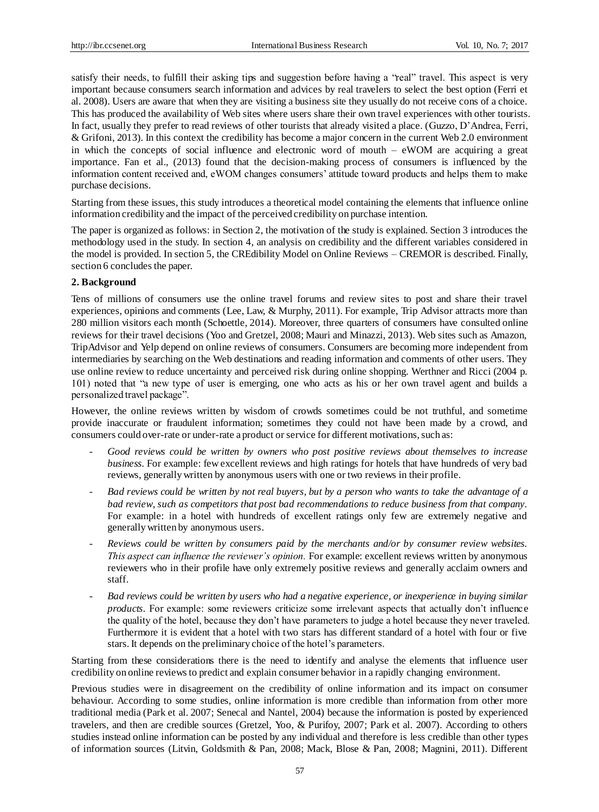satisfy their needs, to fulfill their asking tips and suggestion before having a "real" travel. This aspect is very important because consumers search information and advices by real travelers to select the best option (Ferri et al. 2008). Users are aware that when they are visiting a business site they usually do not receive cons of a choice. This has produced the availability of Web sites where users share their own travel experiences with other tourists. In fact, usually they prefer to read reviews of other tourists that already visited a place. (Guzzo, D'Andrea, Ferri, & Grifoni, 2013). In this context the credibility has become a major concern in the current Web 2.0 environment in which the concepts of social influence and electronic word of mouth  $-$  eWOM are acquiring a great importance. Fan et al., (2013) found that the decision-making process of consumers is influenced by the information content received and, eWOM changes consumers' attitude toward products and helps them to make purchase decisions.

Starting from these issues, this study introduces a theoretical model containing the elements that influence online information credibility and the impact of the perceived credibility on purchase intention.

The paper is organized as follows: in Section 2, the motivation of the study is explained. Section 3 introduces the methodology used in the study. In section 4, an analysis on credibility and the different variables considered in the model is provided. In section 5, the CREdibility Model on Online Reviews – CREMOR is described. Finally, section 6 concludes the paper.

# **2. Background**

Tens of millions of consumers use the online travel forums and review sites to post and share their travel experiences, opinions and comments (Lee, Law, & Murphy, 2011). For example, Trip Advisor attracts more than 280 million visitors each month (Schoettle, 2014). Moreover, three quarters of consumers have consulted online reviews for their travel decisions (Yoo and Gretzel, 2008; Mauri and Minazzi, 2013). Web sites such as Amazon, TripAdvisor and Yelp depend on online reviews of consumers. Consumers are becoming more independent from intermediaries by searching on the Web destinations and reading information and comments of other users. They use online review to reduce uncertainty and perceived risk during online shopping. Werthner and Ricci (2004 p. 101) noted that "a new type of user is emerging, one who acts as his or her own travel agent and builds a personalized travel package".

However, the online reviews written by wisdom of crowds sometimes could be not truthful, and sometime provide inaccurate or fraudulent information; sometimes they could not have been made by a crowd, and consumers could over-rate or under-rate a product or service for different motivations, such as:

- *Good reviews could be written by owners who post positive reviews about themselves to increase business.* For example: few excellent reviews and high ratings for hotels that have hundreds of very bad reviews, generally written by anonymous users with one or two reviews in their profile.
- *Bad reviews could be written by not real buyers, but by a person who wants to take the advantage of a bad review, such as competitors that post bad recommendations to reduce business from that company.*  For example: in a hotel with hundreds of excellent ratings only few are extremely negative and generally written by anonymous users.
- *Reviews could be written by consumers paid by the merchants and/or by consumer review websites. This aspect can influence the reviewer's opinion.* For example: excellent reviews written by anonymous reviewers who in their profile have only extremely positive reviews and generally acclaim owners and staff.
- *Bad reviews could be written by users who had a negative experience, or inexperience in buying similar products*. For example: some reviewers criticize some irrelevant aspects that actually don't influence the quality of the hotel, because they don't have parameters to judge a hotel because they never traveled. Furthermore it is evident that a hotel with two stars has different standard of a hotel with four or five stars. It depends on the preliminary choice of the hotel's parameters.

Starting from these considerations there is the need to identify and analyse the elements that influence user credibility on online reviews to predict and explain consumer behavior in a rapidly changing environment.

Previous studies were in disagreement on the credibility of online information and its impact on consumer behaviour. According to some studies, online information is more credible than information from other more traditional media (Park et al. 2007; Senecal and Nantel, 2004) because the information is posted by experienced travelers, and then are credible sources (Gretzel, Yoo, & Purifoy, 2007; Park et al. 2007). According to others studies instead online information can be posted by any individual and therefore is less credible than other types of information sources (Litvin, Goldsmith & Pan, 2008; Mack, Blose & Pan, 2008; Magnini, 2011). Different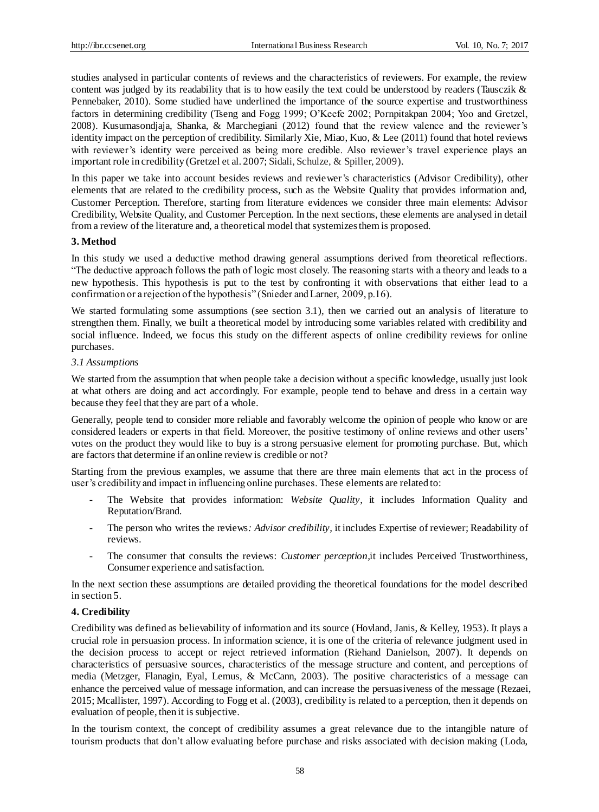studies analysed in particular contents of reviews and the characteristics of reviewers. For example, the review content was judged by its readability that is to how easily the text could be understood by readers (Tausczik & Pennebaker, 2010). Some studied have underlined the importance of the source expertise and trustworthiness factors in determining credibility (Tseng and Fogg 1999; O'Keefe 2002; Pornpitakpan 2004; Yoo and Gretzel, 2008). Kusumasondjaja, Shanka, & Marchegiani (2012) found that the review valence and the reviewer's identity impact on the perception of credibility. Similarly Xie, Miao, Kuo, & Lee (2011) found that hotel reviews with reviewer's identity were perceived as being more credible. Also reviewer's travel experience plays an important role in credibility (Gretzel et al. 2007; Sidali, Schulze, & Spiller, 2009).

In this paper we take into account besides reviews and reviewer's characteristics (Advisor Credibility), other elements that are related to the credibility process, such as the Website Quality that provides information and, Customer Perception. Therefore, starting from literature evidences we consider three main elements: Advisor Credibility, Website Quality, and Customer Perception. In the next sections, these elements are analysed in detail from a review of the literature and, a theoretical model that systemizes them is proposed.

#### **3. Method**

In this study we used a deductive method drawing general assumptions derived from theoretical reflections. "The deductive approach follows the path of logic most closely. The reasoning starts with a theory and leads to a new hypothesis. This hypothesis is put to the test by confronting it with observations that either lead to a confirmation or a rejection of the hypothesis" (Snieder and Larner, 2009, p.16).

We started formulating some assumptions (see section 3.1), then we carried out an analysis of literature to strengthen them. Finally, we built a theoretical model by introducing some variables related with credibility and social influence. Indeed, we focus this study on the different aspects of online credibility reviews for online purchases.

#### *3.1 Assumptions*

We started from the assumption that when people take a decision without a specific knowledge, usually just look at what others are doing and act accordingly. For example, people tend to behave and dress in a certain way because they feel that they are part of a whole.

Generally, people tend to consider more reliable and favorably welcome the opinion of people who know or are considered leaders or experts in that field. Moreover, the positive testimony of online reviews and other users' votes on the product they would like to buy is a strong persuasive element for promoting purchase. But, which are factors that determine if an online review is credible or not?

Starting from the previous examples, we assume that there are three main elements that act in the process of user's credibility and impact in influencing online purchases. These elements are related to:

- The Website that provides information: *Website Quality*, it includes Information Quality and Reputation/Brand.
- The person who writes the reviews*: Advisor credibility,* it includes Expertise of reviewer; Readability of reviews.
- The consumer that consults the reviews: *Customer perception,*it includes Perceived Trustworthiness, Consumer experience and satisfaction.

In the next section these assumptions are detailed providing the theoretical foundations for the model described in section 5.

## **4. Credibility**

Credibility was defined as believability of information and its source (Hovland, Janis, & Kelley, 1953). It plays a crucial role in persuasion process. In information science, it is one of the criteria of relevance judgment used in the decision process to accept or reject retrieved information (Riehand Danielson, 2007). It depends on characteristics of persuasive sources, characteristics of the message structure and content, and perceptions of media (Metzger, Flanagin, Eyal, Lemus, & McCann, 2003). The positive characteristics of a message can enhance the perceived value of message information, and can increase the persuasiveness of the message (Rezaei, 2015; Mcallister, 1997). According to Fogg et al. (2003), credibility is related to a perception, then it depends on evaluation of people, then it is subjective.

In the tourism context, the concept of credibility assumes a great relevance due to the intangible nature of tourism products that don't allow evaluating before purchase and risks associated with decision making (Loda,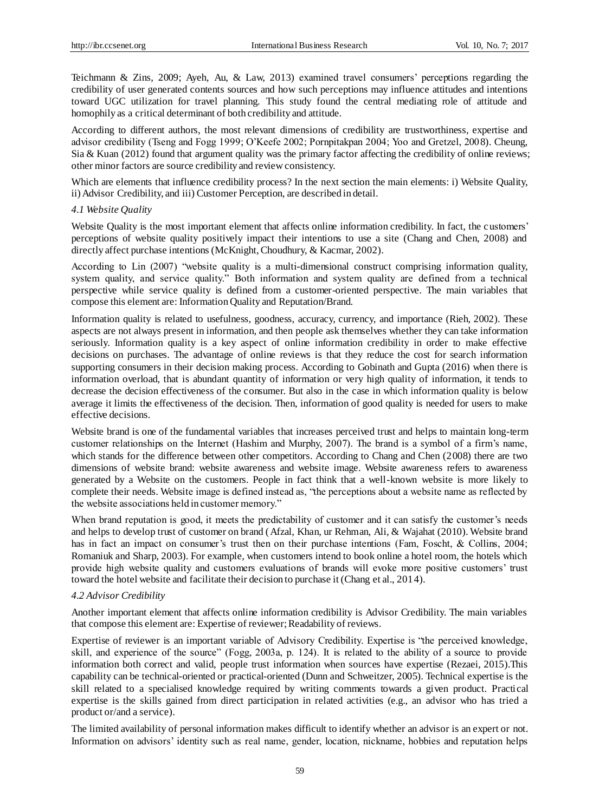Teichmann & Zins, 2009; Ayeh, Au, & Law, 2013) examined travel consumers' perceptions regarding the credibility of user generated contents sources and how such perceptions may influence attitudes and intentions toward UGC utilization for travel planning. This study found the central mediating role of attitude and homophily as a critical determinant of both credibility and attitude.

According to different authors, the most relevant dimensions of credibility are trustworthiness, expertise and advisor credibility (Tseng and Fogg 1999; O'Keefe 2002; Pornpitakpan 2004; Yoo and Gretzel, 2008). Cheung, Sia & Kuan (2012) found that argument quality was the primary factor affecting the credibility of online reviews; other minor factors are source credibility and review consistency.

Which are elements that influence credibility process? In the next section the main elements: i) Website Quality, ii) Advisor Credibility, and iii) Customer Perception, are described in detail.

#### *4.1 Website Quality*

Website Quality is the most important element that affects online information credibility. In fact, the customers' perceptions of website quality positively impact their intentions to use a site (Chang and Chen, 2008) and directly affect purchase intentions (McKnight, Choudhury, & Kacmar, 2002).

According to Lin (2007) "website quality is a multi-dimensional construct comprising information quality, system quality, and service quality." Both information and system quality are defined from a technical perspective while service quality is defined from a customer-oriented perspective. The main variables that compose this element are: Information Quality and Reputation/Brand.

Information quality is related to usefulness, goodness, accuracy, currency, and importance (Rieh, 2002). These aspects are not always present in information, and then people ask themselves whether they can take information seriously. Information quality is a key aspect of online information credibility in order to make effective decisions on purchases. The advantage of online reviews is that they reduce the cost for search information supporting consumers in their decision making process. According to Gobinath and Gupta (2016) when there is information overload, that is abundant quantity of information or very high quality of information, it tends to decrease the decision effectiveness of the consumer. But also in the case in which information quality is below average it limits the effectiveness of the decision. Then, information of good quality is needed for users to make effective decisions.

Website brand is one of the fundamental variables that increases perceived trust and helps to maintain long-term customer relationships on the Internet (Hashim and Murphy, 2007). The brand is a symbol of a firm's name, which stands for the difference between other competitors. According to Chang and Chen (2008) there are two dimensions of website brand: website awareness and website image. Website awareness refers to awareness generated by a Website on the customers. People in fact think that a well-known website is more likely to complete their needs. Website image is defined instead as, "the perceptions about a website name as reflected by the website associations held in customer memory."

When brand reputation is good, it meets the predictability of customer and it can satisfy the customer's needs and helps to develop trust of customer on brand (Afzal, Khan, ur Rehman, Ali, & Wajahat (2010). Website brand has in fact an impact on consumer's trust then on their purchase intentions (Fam, Foscht, & Collins, 2004; Romaniuk and Sharp, 2003). For example, when customers intend to book online a hotel room, the hotels which provide high website quality and customers evaluations of brands will evoke more positive customers' trust toward the hotel website and facilitate their decision to purchase it (Chang et al., 2014).

## *4.2 Advisor Credibility*

Another important element that affects online information credibility is Advisor Credibility. The main variables that compose this element are: Expertise of reviewer; Readability of reviews.

Expertise of reviewer is an important variable of Advisory Credibility. Expertise is "the perceived knowledge, skill, and experience of the source" (Fogg, 2003a, p. 124). It is related to the ability of a source to provide information both correct and valid, people trust information when sources have expertise (Rezaei, 2015).This capability can be technical-oriented or practical-oriented (Dunn and Schweitzer, 2005). Technical expertise is the skill related to a specialised knowledge required by writing comments towards a given product. Practical expertise is the skills gained from direct participation in related activities (e.g., an advisor who has tried a product or/and a service).

The limited availability of personal information makes difficult to identify whether an advisor is an expert or not. Information on advisors' identity such as real name, gender, location, nickname, hobbies and reputation helps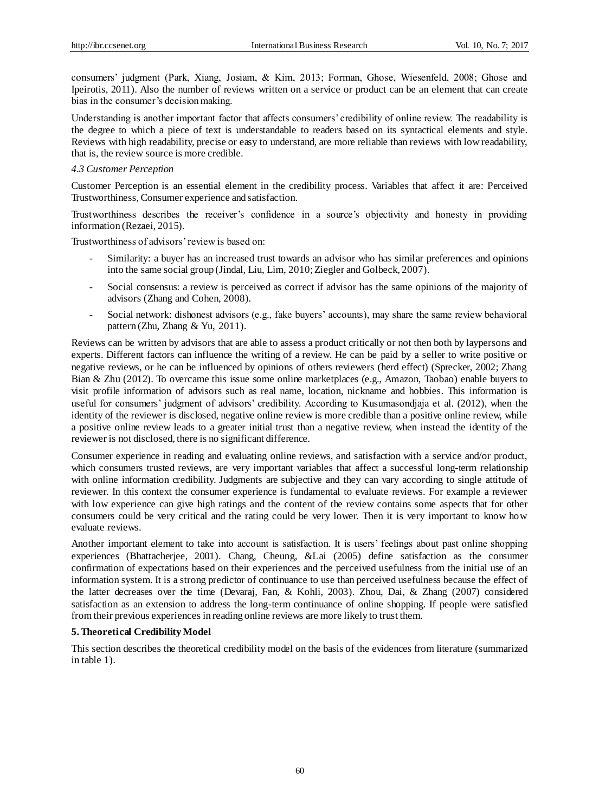consumers' judgment (Park, Xiang, Josiam, & Kim, 2013; Forman, Ghose, Wiesenfeld, 2008; Ghose and Ipeirotis, 2011). Also the number of reviews written on a service or product can be an element that can create bias in the consumer's decision making.

Understanding is another important factor that affects consumers' credibility of online review. The readability is the degree to which a piece of text is understandable to readers based on its syntactical elements and style. Reviews with high readability, precise or easy to understand, are more reliable than reviews with low readability, that is, the review source is more credible.

#### *4.3 Customer Perception*

Customer Perception is an essential element in the credibility process. Variables that affect it are: Perceived Trustworthiness, Consumer experience and satisfaction.

Trustworthiness describes the receiver's confidence in a source's objectivity and honesty in providing information (Rezaei, 2015).

Trustworthiness of advisors' review is based on:

- Similarity: a buyer has an increased trust towards an advisor who has similar preferences and opinions into the same social group (Jindal, Liu, Lim, 2010; Ziegler and Golbeck, 2007).
- Social consensus: a review is perceived as correct if advisor has the same opinions of the majority of advisors (Zhang and Cohen, 2008).
- Social network: dishonest advisors (e.g., fake buyers' accounts), may share the same review behavioral pattern (Zhu, Zhang & Yu, 2011).

Reviews can be written by advisors that are able to assess a product critically or not then both by laypersons and experts. Different factors can influence the writing of a review. He can be paid by a seller to write positive or negative reviews, or he can be influenced by opinions of others reviewers (herd effect) (Sprecker, 2002; Zhang Bian & Zhu (2012). To overcame this issue some online marketplaces (e.g., Amazon, Taobao) enable buyers to visit profile information of advisors such as real name, location, nickname and hobbies. This information is useful for consumers' judgment of advisors' credibility. According to Kusumasondjaja et al. (2012), when the identity of the reviewer is disclosed, negative online review is more credible than a positive online review, while a positive online review leads to a greater initial trust than a negative review, when instead the identity of the reviewer is not disclosed, there is no significant difference.

Consumer experience in reading and evaluating online reviews, and satisfaction with a service and/or product, which consumers trusted reviews, are very important variables that affect a successful long-term relationship with online information credibility. Judgments are subjective and they can vary according to single attitude of reviewer. In this context the consumer experience is fundamental to evaluate reviews. For example a reviewer with low experience can give high ratings and the content of the review contains some aspects that for other consumers could be very critical and the rating could be very lower. Then it is very important to know how evaluate reviews.

Another important element to take into account is satisfaction. It is users' feelings about past online shopping experiences (Bhattacherjee, 2001). Chang, Cheung, &Lai (2005) define satisfaction as the consumer confirmation of expectations based on their experiences and the perceived usefulness from the initial use of an information system. It is a strong predictor of continuance to use than perceived usefulness because the effect of the latter decreases over the time (Devaraj, Fan, & Kohli, 2003). Zhou, Dai, & Zhang (2007) considered satisfaction as an extension to address the long-term continuance of online shopping. If people were satisfied from their previous experiences in reading online reviews are more likely to trust them.

## **5. Theoretical Credibility Model**

This section describes the theoretical credibility model on the basis of the evidences from literature (summarized in table 1).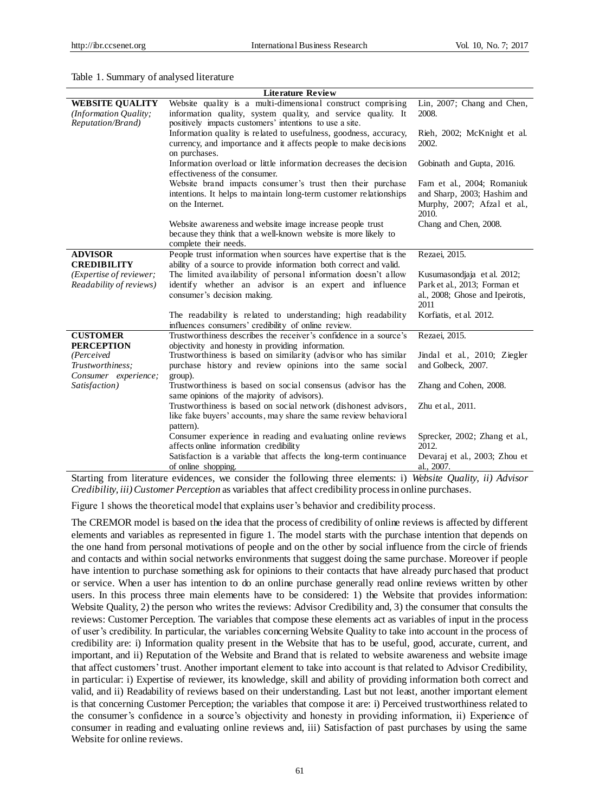#### Table 1. Summary of analysed literature

| <b>Literature Review</b>                                             |                                                                                                                                                                                        |                                                                                                   |  |
|----------------------------------------------------------------------|----------------------------------------------------------------------------------------------------------------------------------------------------------------------------------------|---------------------------------------------------------------------------------------------------|--|
| <b>WEBSITE QUALITY</b><br>(Information Quality;<br>Reputation/Brand) | Website quality is a multi-dimensional construct comprising<br>information quality, system quality, and service quality. It<br>positively impacts customers' intentions to use a site. | Lin, 2007; Chang and Chen,<br>2008.                                                               |  |
|                                                                      | Information quality is related to usefulness, goodness, accuracy,<br>currency, and importance and it affects people to make decisions<br>on purchases.                                 | Rieh, 2002; McKnight et al.<br>2002.                                                              |  |
|                                                                      | Information overload or little information decreases the decision<br>effectiveness of the consumer.                                                                                    | Gobinath and Gupta, 2016.                                                                         |  |
|                                                                      | Website brand impacts consumer's trust then their purchase<br>intentions. It helps to maintain long-term customer relationships<br>on the Internet.                                    | Fam et al., 2004; Romaniuk<br>and Sharp, 2003; Hashim and<br>Murphy, 2007; Afzal et al.,<br>2010. |  |
|                                                                      | Website awareness and website image increase people trust<br>because they think that a well-known website is more likely to<br>complete their needs.                                   | Chang and Chen, 2008.                                                                             |  |
| <b>ADVISOR</b>                                                       | People trust information when sources have expertise that is the                                                                                                                       | Rezaei, 2015.                                                                                     |  |
| <b>CREDIBILITY</b>                                                   | ability of a source to provide information both correct and valid.<br>The limited availability of personal information doesn't allow                                                   |                                                                                                   |  |
| (Expertise of reviewer;<br>Readability of reviews)                   | identify whether an advisor is an expert and influence                                                                                                                                 | Kusumasondjaja et al. 2012;<br>Park et al., 2013; Forman et                                       |  |
|                                                                      | consumer's decision making.                                                                                                                                                            | al., 2008; Ghose and Ipeirotis,<br>2011                                                           |  |
|                                                                      | The readability is related to understanding; high readability<br>influences consumers' credibility of online review.                                                                   | Korfiatis, et al. 2012.                                                                           |  |
| <b>CUSTOMER</b>                                                      | Trustworthiness describes the receiver's confidence in a source's                                                                                                                      | Rezaei, 2015.                                                                                     |  |
| <b>PERCEPTION</b><br>(Perceived                                      | objectivity and honesty in providing information.<br>Trustworthiness is based on similarity (advisor who has similar                                                                   | Jindal et al., 2010; Ziegler                                                                      |  |
| Trustworthiness:                                                     | purchase history and review opinions into the same social                                                                                                                              | and Golbeck, 2007.                                                                                |  |
| Consumer experience;                                                 | group).                                                                                                                                                                                |                                                                                                   |  |
| Satisfaction)                                                        | Trustworthiness is based on social consensus (advisor has the<br>same opinions of the majority of advisors).                                                                           | Zhang and Cohen, 2008.                                                                            |  |
|                                                                      | Trustworthiness is based on social network (dishonest advisors,<br>like fake buyers' accounts, may share the same review behavioral<br>pattern).                                       | Zhu et al., 2011.                                                                                 |  |
|                                                                      | Consumer experience in reading and evaluating online reviews<br>affects online information credibility                                                                                 | Sprecker, 2002; Zhang et al.,<br>2012.                                                            |  |
|                                                                      | Satisfaction is a variable that affects the long-term continuance<br>of online shopping.                                                                                               | Devaraj et al., 2003; Zhou et<br>al., 2007.                                                       |  |
|                                                                      |                                                                                                                                                                                        |                                                                                                   |  |

Starting from literature evidences, we consider the following three elements: i) *Website Quality, ii) Advisor Credibility, iii) Customer Perception* as variables that affect credibility process in online purchases.

Figure 1 shows the theoretical model that explains user's behavior and credibility process.

The CREMOR model is based on the idea that the process of credibility of online reviews is affected by different elements and variables as represented in figure 1. The model starts with the purchase intention that depends on the one hand from personal motivations of people and on the other by social influence from the circle of friends and contacts and within social networks environments that suggest doing the same purchase. Moreover if people have intention to purchase something ask for opinions to their contacts that have already purchased that product or service. When a user has intention to do an online purchase generally read online reviews written by other users. In this process three main elements have to be considered: 1) the Website that provides information: Website Quality, 2) the person who writes the reviews: Advisor Credibility and, 3) the consumer that consults the reviews: Customer Perception. The variables that compose these elements act as variables of input in the process of user's credibility. In particular, the variables concerning Website Quality to take into account in the process of credibility are: i) Information quality present in the Website that has to be useful, good, accurate, current, and important, and ii) Reputation of the Website and Brand that is related to website awareness and website image that affect customers' trust. Another important element to take into account is that related to Advisor Credibility, in particular: i) Expertise of reviewer, its knowledge, skill and ability of providing information both correct and valid, and ii) Readability of reviews based on their understanding. Last but not least, another important element is that concerning Customer Perception; the variables that compose it are: i) Perceived trustworthiness related to the consumer's confidence in a source's objectivity and honesty in providing information, ii) Experience of consumer in reading and evaluating online reviews and, iii) Satisfaction of past purchases by using the same Website for online reviews.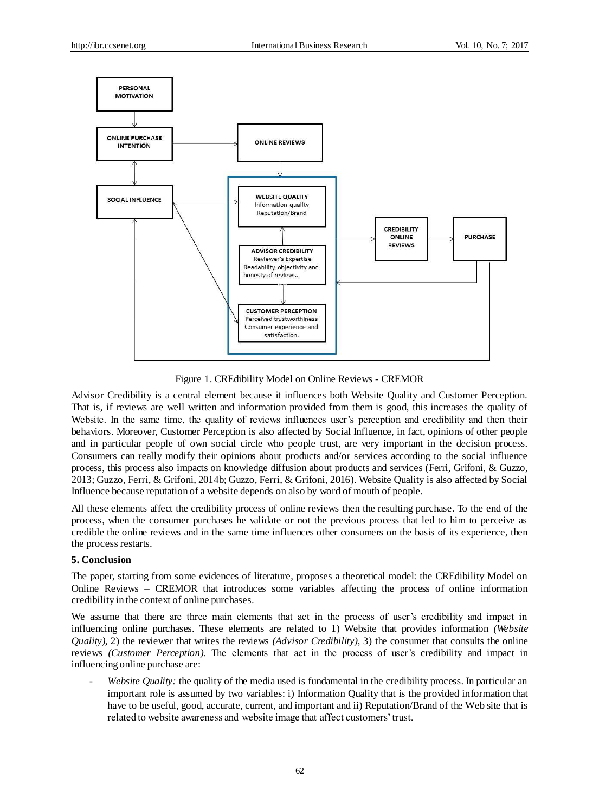

Figure 1. CREdibility Model on Online Reviews - CREMOR

Advisor Credibility is a central element because it influences both Website Quality and Customer Perception. That is, if reviews are well written and information provided from them is good, this increases the quality of Website. In the same time, the quality of reviews influences user's perception and credibility and then their behaviors. Moreover, Customer Perception is also affected by Social Influence, in fact, opinions of other people and in particular people of own social circle who people trust, are very important in the decision process. Consumers can really modify their opinions about products and/or services according to the social influence process, this process also impacts on knowledge diffusion about products and services (Ferri, Grifoni, & Guzzo, 2013; Guzzo, Ferri, & Grifoni, 2014b; Guzzo, Ferri, & Grifoni, 2016). Website Quality is also affected by Social Influence because reputation of a website depends on also by word of mouth of people.

All these elements affect the credibility process of online reviews then the resulting purchase. To the end of the process, when the consumer purchases he validate or not the previous process that led to him to perceive as credible the online reviews and in the same time influences other consumers on the basis of its experience, then the process restarts.

## **5. Conclusion**

The paper, starting from some evidences of literature, proposes a theoretical model: the CREdibility Model on Online Reviews – CREMOR that introduces some variables affecting the process of online information credibility in the context of online purchases.

We assume that there are three main elements that act in the process of user's credibility and impact in influencing online purchases. These elements are related to 1) Website that provides information *(Website Quality)*, 2) the reviewer that writes the reviews *(Advisor Credibility)*, 3) the consumer that consults the online reviews *(Customer Perception)*. The elements that act in the process of user's credibility and impact in influencing online purchase are:

*Website Quality:* the quality of the media used is fundamental in the credibility process. In particular an important role is assumed by two variables: i) Information Quality that is the provided information that have to be useful, good, accurate, current, and important and ii) Reputation/Brand of the Web site that is related to website awareness and website image that affect customers' trust.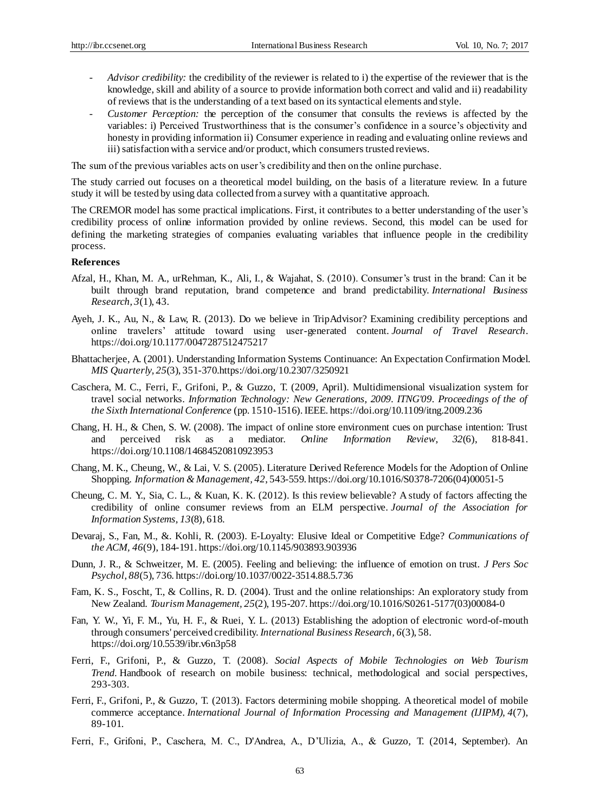- *- Advisor credibility:* the credibility of the reviewer is related to i) the expertise of the reviewer that is the knowledge, skill and ability of a source to provide information both correct and valid and ii) readability of reviews that is the understanding of a text based on its syntactical elements and style.
- *Customer Perception:* the perception of the consumer that consults the reviews is affected by the variables: i) Perceived Trustworthiness that is the consumer's confidence in a source's objectivity and honesty in providing information ii) Consumer experience in reading and evaluating online reviews and iii) satisfaction with a service and/or product, which consumers trusted reviews.

The sum of the previous variables acts on user's credibility and then on the online purchase.

The study carried out focuses on a theoretical model building, on the basis of a literature review. In a future study it will be tested by using data collected from a survey with a quantitative approach.

The CREMOR model has some practical implications. First, it contributes to a better understanding of the user's credibility process of online information provided by online reviews. Second, this model can be used for defining the marketing strategies of companies evaluating variables that influence people in the credibility process.

#### **References**

- Afzal, H., Khan, M. A., urRehman, K., Ali, I., & Wajahat, S. (2010). Consumer's trust in the brand: Can it be built through brand reputation, brand competence and brand predictability. *International Business Research, 3*(1), 43.
- Ayeh, J. K., Au, N., & Law, R. (2013). Do we believe in TripAdvisor? Examining credibility perceptions and online travelers' attitude toward using user-generated content. *Journal of Travel Research*. https://doi.org/10.1177/0047287512475217
- Bhattacherjee, A. (2001). Understanding Information Systems Continuance: An Expectation Confirmation Model. *MIS Quarterly, 25*(3), 351-370.https://doi.org/10.2307/3250921
- Caschera, M. C., Ferri, F., Grifoni, P., & Guzzo, T. (2009, April). Multidimensional visualization system for travel social networks. *Information Technology: New Generations, 2009. ITNG'09. Proceedings of the of the Sixth International Conference* (pp. 1510-1516). IEEE. https://doi.org/10.1109/itng.2009.236
- Chang, H. H., & Chen, S. W. (2008). The impact of online store environment cues on purchase intention: Trust and perceived risk as a mediator. *Online Information Review*, *32*(6), 818-841. https://doi.org/10.1108/14684520810923953
- Chang, M. K., Cheung, W., & Lai, V. S. (2005). Literature Derived Reference Models for the Adoption of Online Shopping. *Information & Management, 42*, 543-559. https://doi.org/10.1016/S0378-7206(04)00051-5
- Cheung, C. M. Y., Sia, C. L., & Kuan, K. K. (2012). Is this review believable? A study of factors affecting the credibility of online consumer reviews from an ELM perspective. *Journal of the Association for Information Systems, 13*(8), 618.
- Devaraj, S., Fan, M., &. Kohli, R. (2003). E-Loyalty: Elusive Ideal or Competitive Edge? *Communications of the ACM, 46*(9), 184-191. https://doi.org/10.1145/903893.903936
- Dunn, J. R., & Schweitzer, M. E. (2005). Feeling and believing: the influence of emotion on trust. *J Pers Soc Psychol, 88*(5), 736. https://doi.org/10.1037/0022-3514.88.5.736
- Fam, K. S., Foscht, T., & Collins, R. D. (2004). Trust and the online relationships: An exploratory study from New Zealand. *Tourism Management, 25*(2), 195-207. https://doi.org/10.1016/S0261-5177(03)00084-0
- Fan, Y. W., Yi, F. M., Yu, H. F., & Ruei, Y. L. (2013) Establishing the adoption of electronic word-of-mouth through consumers' perceived credibility. *International Business Research, 6*(3), 58. https://doi.org/10.5539/ibr.v6n3p58
- Ferri, F., Grifoni, P., & Guzzo, T. (2008). *Social Aspects of Mobile Technologies on Web Tourism Trend.* Handbook of research on mobile business: technical, methodological and social perspectives, 293-303.
- Ferri, F., Grifoni, P., & Guzzo, T. (2013). Factors determining mobile shopping. A theoretical model of mobile commerce acceptance. *International Journal of Information Processing and Management (IJIPM), 4*(7), 89-101.
- Ferri, F., Grifoni, P., Caschera, M. C., D'Andrea, A., D'Ulizia, A., & Guzzo, T. (2014, September). An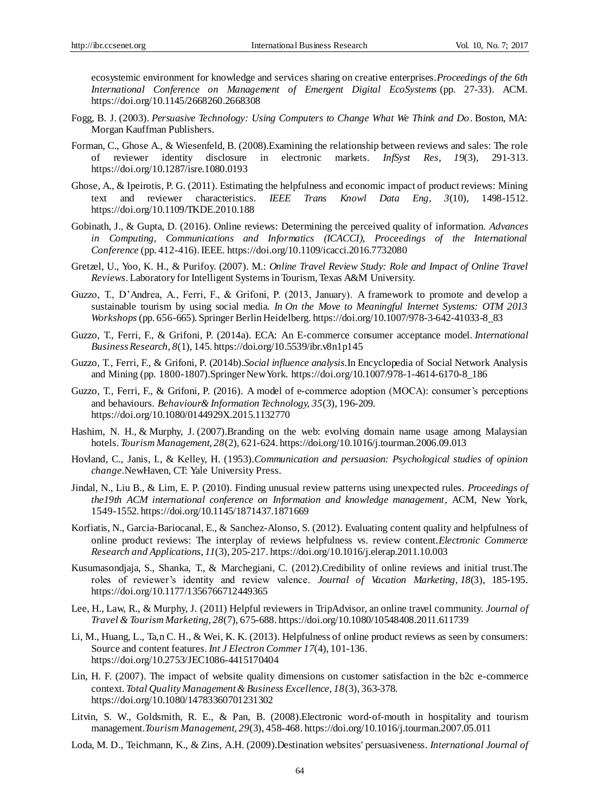ecosystemic environment for knowledge and services sharing on creative enterprises.*Proceedings of the 6th International Conference on Management of Emergent Digital EcoSystems* (pp. 27-33). ACM. https://doi.org/10.1145/2668260.2668308

- Fogg, B. J. (2003). *Persuasive Technology: Using Computers to Change What We Think and Do*. Boston, MA: Morgan Kauffman Publishers.
- Forman, C., Ghose A., & Wiesenfeld, B. (2008).Examining the relationship between reviews and sales: The role of reviewer identity disclosure in electronic markets. *InfSyst Res, 19*(3), 291-313. https://doi.org/10.1287/isre.1080.0193
- Ghose, A., & Ipeirotis, P. G. (2011). Estimating the helpfulness and economic impact of product reviews: Mining text and reviewer characteristics. *IEEE Trans Knowl Data Eng, 3*(10), 1498-1512. https://doi.org/10.1109/TKDE.2010.188
- Gobinath, J., & Gupta, D. (2016). Online reviews: Determining the perceived quality of information. *Advances in Computing, Communications and Informatics (ICACCI), Proceedings of the International Conference* (pp. 412-416). IEEE. https://doi.org/10.1109/icacci.2016.7732080
- Gretzel, U., Yoo, K. H., & Purifoy. (2007). M.: *Online Travel Review Study: Role and Impact of Online Travel Reviews*. Laboratory for Intelligent Systems in Tourism, Texas A&M University.
- Guzzo, T., D'Andrea, A., Ferri, F., & Grifoni, P. (2013, January). A framework to promote and develop a sustainable tourism by using social media. *In On the Move to Meaningful Internet Systems: OTM 2013 Workshops* (pp. 656-665). Springer Berlin Heidelberg. https://doi.org/10.1007/978-3-642-41033-8\_83
- Guzzo, T., Ferri, F., & Grifoni, P. (2014a). ECA: An E-commerce consumer acceptance model. *International Business Research, 8*(1), 145. https://doi.org/10.5539/ibr.v8n1p145
- Guzzo, T., Ferri, F., & Grifoni, P. (2014b).*Social influence analysis.*In Encyclopedia of Social Network Analysis and Mining (pp. 1800-1807).Springer New York. https://doi.org/10.1007/978-1-4614-6170-8\_186
- Guzzo, T., Ferri, F., & Grifoni, P. (2016). A model of e-commerce adoption (MOCA): consumer's perceptions and behaviours. *Behaviour& Information Technology, 35*(3), 196-209. https://doi.org/10.1080/0144929X.2015.1132770
- Hashim, N. H., & Murphy, J. (2007).Branding on the web: evolving domain name usage among Malaysian hotels. *Tourism Management, 28*(2), 621-624. https://doi.org/10.1016/j.tourman.2006.09.013
- Hovland, C., Janis, I., & Kelley, H. (1953).*Communication and persuasion: Psychological studies of opinion change.*NewHaven, CT: Yale University Press.
- Jindal, N., Liu B., & Lim, E. P. (2010). Finding unusual review patterns using unexpected rules. *Proceedings of the19th ACM international conference on Information and knowledge management,* ACM, New York, 1549-1552. https://doi.org/10.1145/1871437.1871669
- Korfiatis, N., Garcia-Bariocanal, E., & Sanchez-Alonso, S. (2012). Evaluating content quality and helpfulness of online product reviews: The interplay of reviews helpfulness vs. review content.*Electronic Commerce Research and Applications, 11*(3), 205-217. https://doi.org/10.1016/j.elerap.2011.10.003
- Kusumasondjaja, S., Shanka, T., & Marchegiani, C. (2012).Credibility of online reviews and initial trust.The roles of reviewer's identity and review valence. *Journal of Vacation Marketing, 18*(3), 185-195. https://doi.org/10.1177/1356766712449365
- Lee, H., Law, R., & Murphy, J. (2011) Helpful reviewers in TripAdvisor, an online travel community. *Journal of Travel & Tourism Marketing, 28*(7), 675-688. https://doi.org/10.1080/10548408.2011.611739
- Li, M., Huang, L., Ta,n C. H., & Wei, K. K. (2013). Helpfulness of online product reviews as seen by consumers: Source and content features. *Int J Electron Commer 17*(4), 101-136. https://doi.org/10.2753/JEC1086-4415170404
- Lin, H. F. (2007). The impact of website quality dimensions on customer satisfaction in the b2c e-commerce context. *Total Quality Management & Business Excellence, 18*(3), 363-378. https://doi.org/10.1080/14783360701231302
- Litvin, S. W., Goldsmith, R. E., & Pan, B. (2008).Electronic word-of-mouth in hospitality and tourism management.*Tourism Management, 29*(3), 458-468. https://doi.org/10.1016/j.tourman.2007.05.011
- Loda, M. D., Teichmann, K., & Zins, A.H. (2009).Destination websites' persuasiveness. *International Journal of*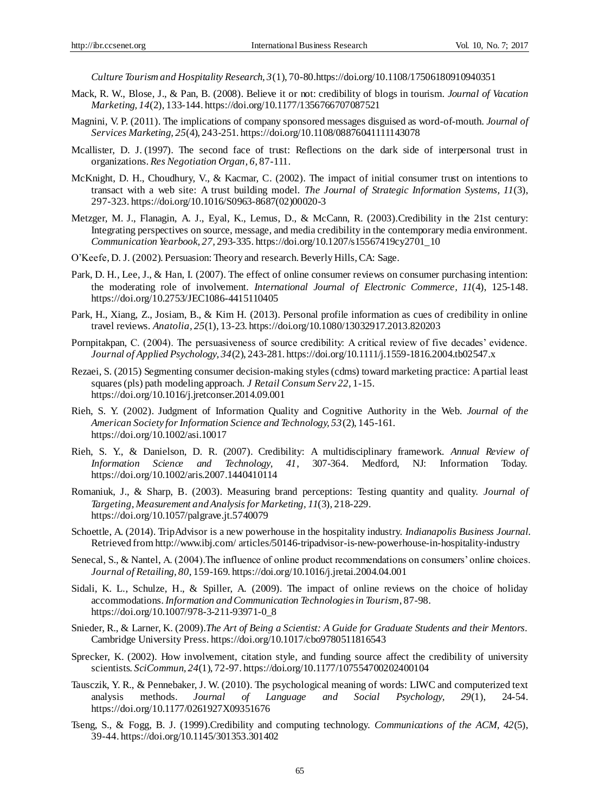*Culture Tourism and Hospitality Research, 3*(1), 70-80.https://doi.org/10.1108/17506180910940351

- Mack, R. W., Blose, J., & Pan, B. (2008). Believe it or not: credibility of blogs in tourism. *Journal of Vacation Marketing, 14*(2), 133-144. https://doi.org/10.1177/1356766707087521
- Magnini, V. P. (2011). The implications of company sponsored messages disguised as word-of-mouth. *Journal of Services Marketing, 25*(4), 243-251. https://doi.org/10.1108/08876041111143078
- Mcallister, D. J. (1997). The second face of trust: Reflections on the dark side of interpersonal trust in organizations. *Res Negotiation Organ, 6,* 87-111.
- McKnight, D. H., Choudhury, V., & Kacmar, C. (2002). The impact of initial consumer trust on intentions to transact with a web site: A trust building model. *The Journal of Strategic Information Systems, 11*(3), 297-323. https://doi.org/10.1016/S0963-8687(02)00020-3
- Metzger, M. J., Flanagin, A. J., Eyal, K., Lemus, D., & McCann, R. (2003).Credibility in the 21st century: Integrating perspectives on source, message, and media credibility in the contemporary media environment. *Communication Yearbook, 27,* 293-335. https://doi.org/10.1207/s15567419cy2701\_10
- O'Keefe, D. J. (2002). Persuasion: Theory and research. Beverly Hills, CA: Sage.
- Park, D. H., Lee, J., & Han, I. (2007). The effect of online consumer reviews on consumer purchasing intention: the moderating role of involvement. *International Journal of Electronic Commerce, 11*(4), 125-148. https://doi.org/10.2753/JEC1086-4415110405
- Park, H., Xiang, Z., Josiam, B., & Kim H. (2013). Personal profile information as cues of credibility in online travel reviews. *Anatolia, 25*(1), 13-23. https://doi.org/10.1080/13032917.2013.820203
- Pornpitakpan, C. (2004). The persuasiveness of source credibility: A critical review of five decades' evidence. *Journal of Applied Psychology, 34*(2), 243-281. https://doi.org/10.1111/j.1559-1816.2004.tb02547.x
- Rezaei, S. (2015) Segmenting consumer decision-making styles (cdms) toward marketing practice: A partial least squares (pls) path modeling approach. *J Retail Consum Serv 22,* 1-15. https://doi.org/10.1016/j.jretconser.2014.09.001
- Rieh, S. Y. (2002). Judgment of Information Quality and Cognitive Authority in the Web. *Journal of the American Society for Information Science and Technology, 53*(2), 145-161. https://doi.org/10.1002/asi.10017
- Rieh, S. Y., & Danielson, D. R. (2007). Credibility: A multidisciplinary framework. *Annual Review of Information Science and Technology, 41*, 307-364. Medford, NJ: Information Today. https://doi.org/10.1002/aris.2007.1440410114
- Romaniuk, J., & Sharp, B. (2003). Measuring brand perceptions: Testing quantity and quality. *Journal of Targeting, Measurement and Analysis for Marketing, 11*(3), 218-229. https://doi.org/10.1057/palgrave.jt.5740079
- Schoettle, A. (2014). TripAdvisor is a new powerhouse in the hospitality industry. *Indianapolis Business Journal.* Retrieved fro[m http://www.ibj.com/](http://www.ibj.com/) articles/50146-tripadvisor-is-new-powerhouse-in-hospitality-industry
- Senecal, S., & Nantel, A. (2004).The influence of online product recommendations on consumers' online choices. *Journal of Retailing, 80*, 159-169. https://doi.org/10.1016/j.jretai.2004.04.001
- Sidali, K. L., Schulze, H., & Spiller, A. (2009). The impact of online reviews on the choice of holiday accommodations. *Information and Communication Technologies in Tourism*, 87-98. https://doi.org/10.1007/978-3-211-93971-0\_8
- Snieder, R., & Larner, K. (2009).*The Art of Being a Scientist: A Guide for Graduate Students and their Mentors.* Cambridge University Press. https://doi.org/10.1017/cbo9780511816543
- Sprecker, K. (2002). How involvement, citation style, and funding source affect the credibility of university scientists. *SciCommun, 24*(1), 72-97. https://doi.org/10.1177/107554700202400104
- Tausczik, Y. R., & Pennebaker, J. W. (2010). The psychological meaning of words: LIWC and computerized text analysis methods. *Journal of Language and Social Psychology, 29*(1), 24-54. https://doi.org/10.1177/0261927X09351676
- Tseng, S., & Fogg, B. J. (1999).Credibility and computing technology. *Communications of the ACM, 42*(5), 39-44. https://doi.org/10.1145/301353.301402